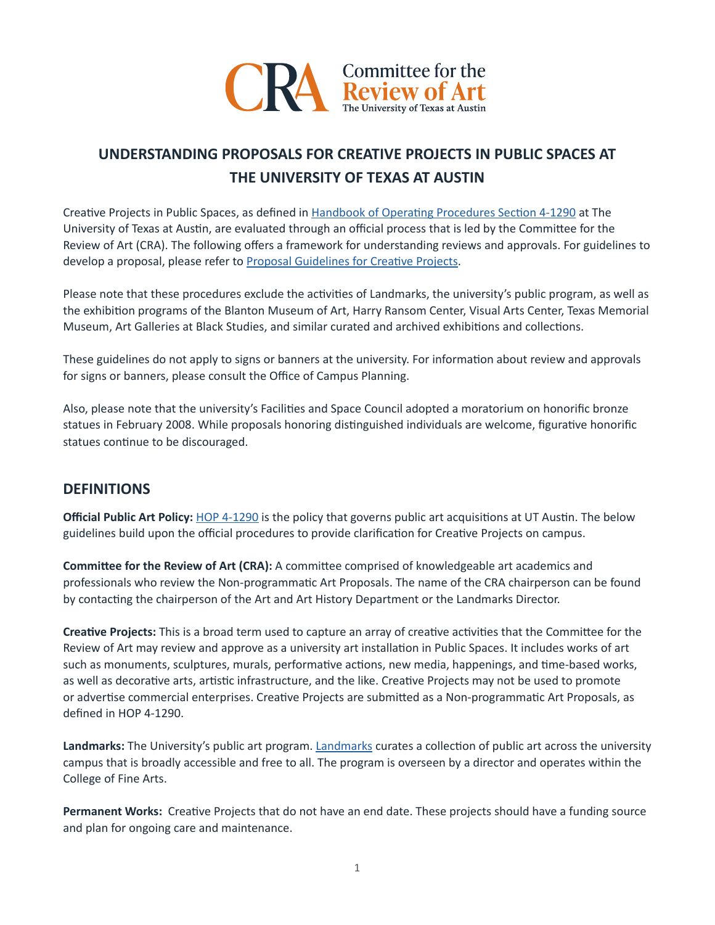

# **UNDERSTANDING PROPOSALS FOR CREATIVE PROJECTS IN PUBLIC SPACES AT THE UNIVERSITY OF TEXAS AT AUSTIN**

Creative Projects in Public Spaces, as defined in Handbook of Operating Procedures Section 4-1290 at The University of Texas at Austin, are evaluated through an official process that is led by the Committee for the Review of Art (CRA). The following offers a framework for understanding reviews and approvals. For guidelines to develop a proposal, please refer to Proposal Guidelines for Creative Projects.

Please note that these procedures exclude the activities of Landmarks, the university's public program, as well as the exhibiton programs of the Blanton Museum of Art, Harry Ransom Center, Visual Arts Center, Texas Memorial Museum, Art Galleries at Black Studies, and similar curated and archived exhibitons and collectons.

These guidelines do not apply to signs or banners at the university. For information about review and approvals for signs or banners, please consult the Office of Campus Planning.

Also, please note that the university's Facilities and Space Council adopted a moratorium on honorific bronze statues in February 2008. While proposals honoring distinguished individuals are welcome, figurative honorific statues continue to be discouraged.

# **DEFINITIONS**

**Official Public Art Policy:** [HOP 4-1290](https://policies.utexas.edu/policies/art-public-spaces) is the policy that governs public art acquisitions at UT Austin. The below guidelines build upon the official procedures to provide clarification for Creative Projects on campus.

**Commitee for the Review of Art (CRA):** A commitee comprised of knowledgeable art academics and professionals who review the Non-programmatic Art Proposals. The name of the CRA chairperson can be found by contacting the chairperson of the Art and Art History Department or the Landmarks Director.

**Creatve Projects:** This is a broad term used to capture an array of creatve actvites that the Commitee for the Review of Art may review and approve as a university art installaton in Public Spaces. It includes works of art such as monuments, sculptures, murals, performatve actons, new media, happenings, and tme-based works, as well as decorative arts, artistic infrastructure, and the like. Creative Projects may not be used to promote or advertise commercial enterprises. Creative Projects are submitted as a Non-programmatic Art Proposals, as defned in HOP 4-1290.

**Landmarks:** The University's public art program. [Landmarks](mailto:https://landmarks.utexas.edu) curates a collecton of public art across the university campus that is broadly accessible and free to all. The program is overseen by a director and operates within the College of Fine Arts.

Permanent Works: Creative Projects that do not have an end date. These projects should have a funding source and plan for ongoing care and maintenance.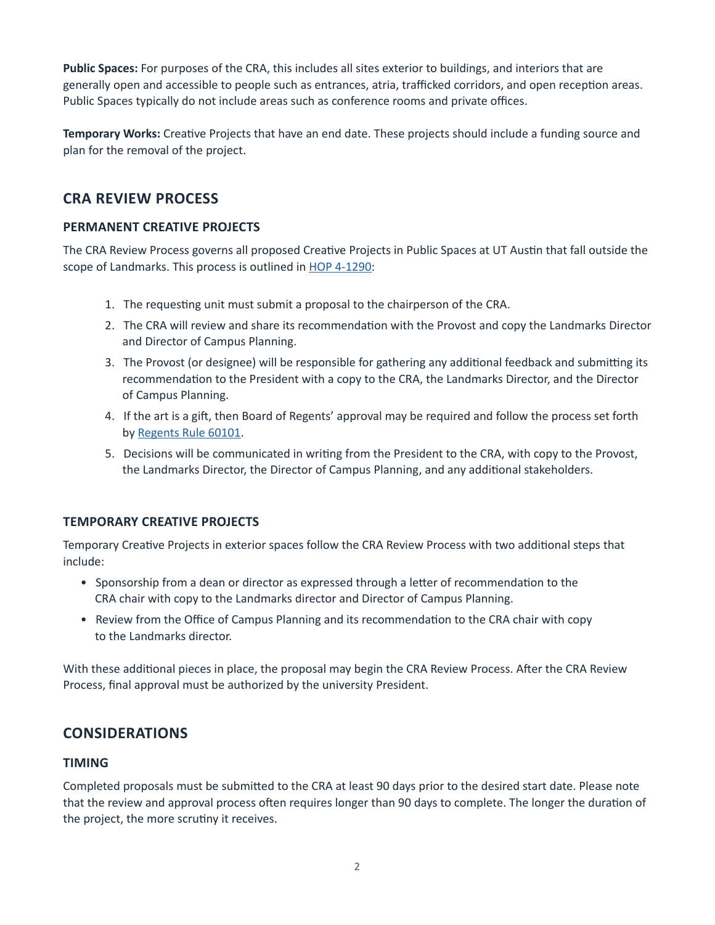**Public Spaces:** For purposes of the CRA, this includes all sites exterior to buildings, and interiors that are generally open and accessible to people such as entrances, atria, trafficked corridors, and open reception areas. Public Spaces typically do not include areas such as conference rooms and private offices.

**Temporary Works:** Creative Projects that have an end date. These projects should include a funding source and plan for the removal of the project.

# **CRA REVIEW PROCESS**

### **PERMANENT CREATIVE PROJECTS**

The CRA Review Process governs all proposed Creative Projects in Public Spaces at UT Austin that fall outside the scope of Landmarks. This process is outlined in **[HOP 4-1290](https://policies.utexas.edu/policies/art-public-spaces):** 

- 1. The requestng unit must submit a proposal to the chairperson of the CRA.
- 2. The CRA will review and share its recommendation with the Provost and copy the Landmarks Director and Director of Campus Planning.
- 3. The Provost (or designee) will be responsible for gathering any additional feedback and submitting its recommendation to the President with a copy to the CRA, the Landmarks Director, and the Director of Campus Planning.
- 4. If the art is a gif, then Board of Regents' approval may be required and follow the process set forth by [Regents Rule 60101](https://www.utsystem.edu/board-of-regents/rules/60101-acceptance-and-administration-of-gifts).
- 5. Decisions will be communicated in writng from the President to the CRA, with copy to the Provost, the Landmarks Director, the Director of Campus Planning, and any additonal stakeholders.

# **TEMPORARY CREATIVE PROJECTS**

Temporary Creatve Projects in exterior spaces follow the CRA Review Process with two additonal steps that include:

- Sponsorship from a dean or director as expressed through a letter of recommendation to the CRA chair with copy to the Landmarks director and Director of Campus Planning.
- Review from the Office of Campus Planning and its recommendation to the CRA chair with copy to the Landmarks director.

With these additonal pieces in place, the proposal may begin the CRA Review Process. Afer the CRA Review Process, final approval must be authorized by the university President.

# **CONSIDERATIONS**

#### **TIMING**

Completed proposals must be submited to the CRA at least 90 days prior to the desired start date. Please note that the review and approval process often requires longer than 90 days to complete. The longer the duration of the project, the more scrutiny it receives.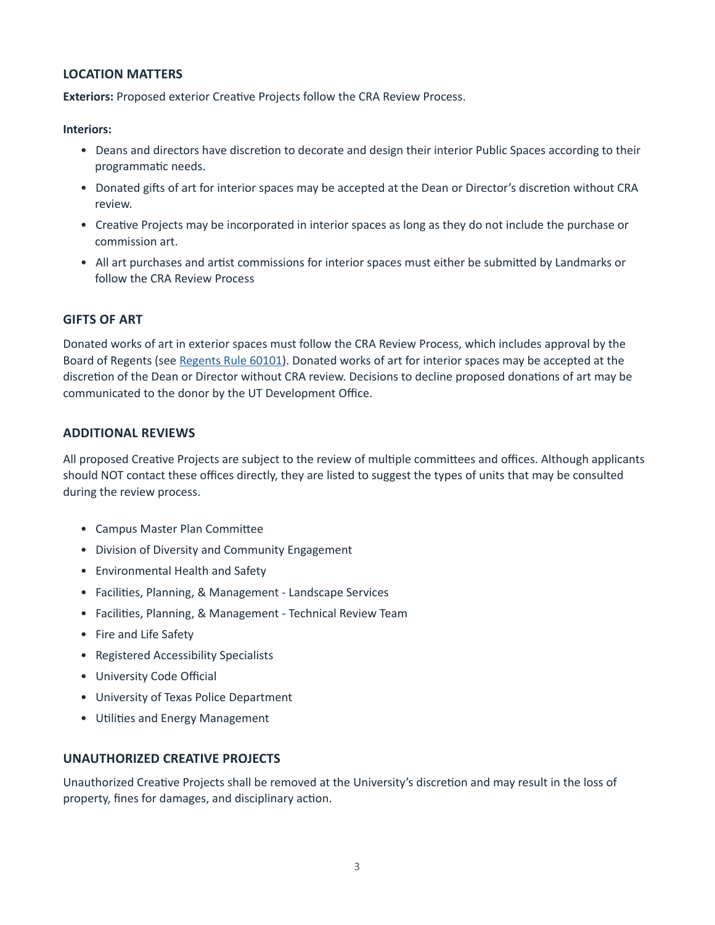### **LOCATION MATTERS**

**Exteriors:** Proposed exterior Creative Projects follow the CRA Review Process.

**Interiors:** 

- Deans and directors have discretion to decorate and design their interior Public Spaces according to their programmatic needs.
- Donated gifts of art for interior spaces may be accepted at the Dean or Director's discretion without CRA review.
- Creatve Projects may be incorporated in interior spaces as long as they do not include the purchase or commission art.
- All art purchases and artist commissions for interior spaces must either be submitted by Landmarks or follow the CRA Review Process

### **GIFTS OF ART**

Donated works of art in exterior spaces must follow the CRA Review Process, which includes approval by the Board of Regents (see [Regents Rule 60101\)](https://www.utsystem.edu/board-of-regents/rules/60101-acceptance-and-administration-of-gifts). Donated works of art for interior spaces may be accepted at the discretion of the Dean or Director without CRA review. Decisions to decline proposed donations of art may be communicated to the donor by the UT Development Office.

### **ADDITIONAL REVIEWS**

All proposed Creative Projects are subject to the review of multiple committees and offices. Although applicants should NOT contact these offices directly, they are listed to suggest the types of units that may be consulted during the review process.

- Campus Master Plan Commitee
- Division of Diversity and Community Engagement
- Environmental Health and Safety
- Facilites, Planning, & Management Landscape Services
- Facilites, Planning, & Management Technical Review Team
- Fire and Life Safety
- Registered Accessibility Specialists
- University Code Official
- University of Texas Police Department
- Utilities and Energy Management

#### **UNAUTHORIZED CREATIVE PROJECTS**

Unauthorized Creative Projects shall be removed at the University's discretion and may result in the loss of property, fines for damages, and disciplinary action.